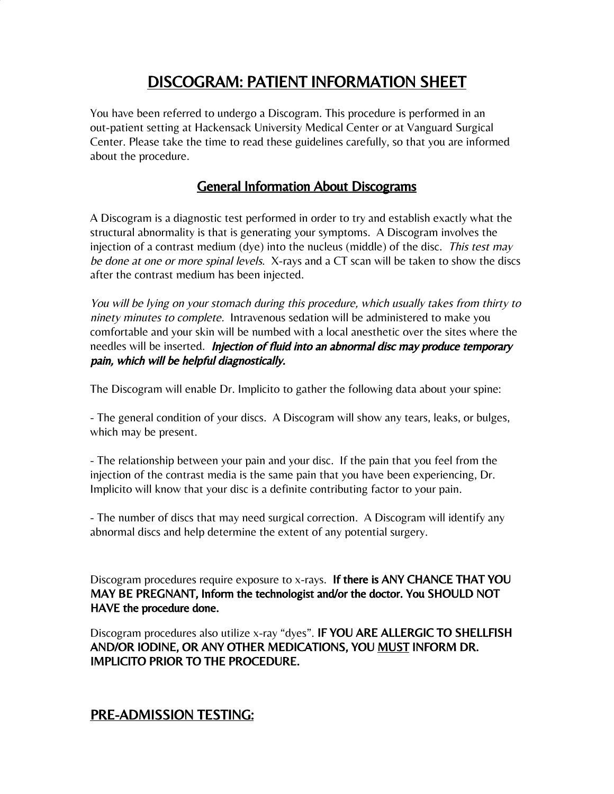# DISCOGRAM: PATIENT INFORMATION SHEET

You have been referred to undergo a Discogram. This procedure is performed in an out-patient setting at Hackensack University Medical Center or at Vanguard Surgical Center. Please take the time to read these guidelines carefully, so that you are informed about the procedure.

## General Information About Discograms

A Discogram is a diagnostic test performed in order to try and establish exactly what the structural abnormality is that is generating your symptoms. A Discogram involves the injection of a contrast medium (dye) into the nucleus (middle) of the disc. This test may be done at one or more spinal levels. X-rays and a CT scan will be taken to show the discs after the contrast medium has been injected.

You will be lying on your stomach during this procedure, which usually takes from thirty to ninety minutes to complete. Intravenous sedation will be administered to make you comfortable and your skin will be numbed with a local anesthetic over the sites where the needles will be inserted. Injection of fluid into an abnormal disc may produce temporary pain, which will be helpful diagnostically.

The Discogram will enable Dr. Implicito to gather the following data about your spine:

- The general condition of your discs. A Discogram will show any tears, leaks, or bulges, which may be present.

- The relationship between your pain and your disc. If the pain that you feel from the injection of the contrast media is the same pain that you have been experiencing, Dr. Implicito will know that your disc is a definite contributing factor to your pain.

- The number of discs that may need surgical correction. A Discogram will identify any abnormal discs and help determine the extent of any potential surgery.

Discogram procedures require exposure to x-rays. If there is ANY CHANCE THAT YOU MAY BE PREGNANT, Inform the technologist and/or the doctor. You SHOULD NOT HAVE the procedure done.

Discogram procedures also utilize x-ray "dyes". IF YOU ARE ALLERGIC TO SHELLFISH AND/OR IODINE, OR ANY OTHER MEDICATIONS, YOU MUST INFORM DR. IMPLICITO PRIOR TO THE PROCEDURE.

## PRE-ADMISSION TESTING: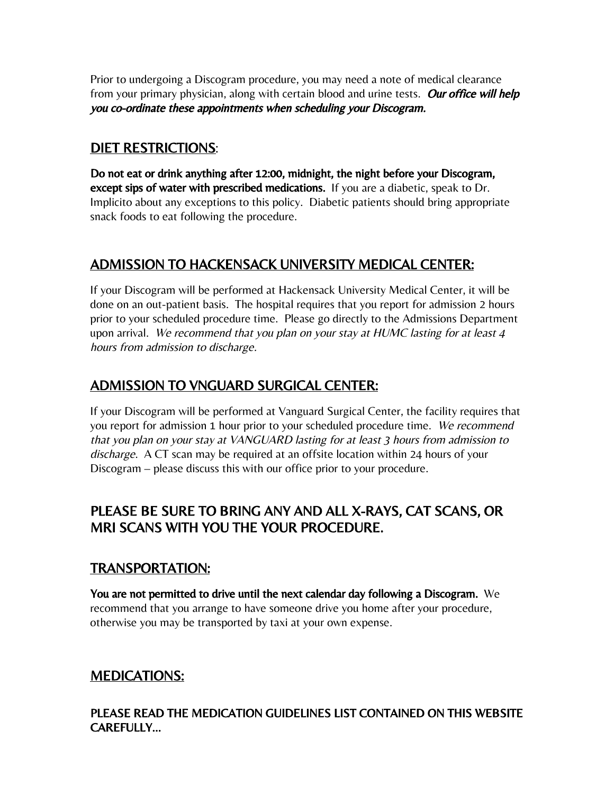Prior to undergoing a Discogram procedure, you may need a note of medical clearance from your primary physician, along with certain blood and urine tests. Our office will help you co-ordinate these appointments when scheduling your Discogram.

## DIET RESTRICTIONS:

Do not eat or drink anything after 12:00, midnight, the night before your Discogram, except sips of water with prescribed medications. If you are a diabetic, speak to Dr. Implicito about any exceptions to this policy. Diabetic patients should bring appropriate snack foods to eat following the procedure.

## ADMISSION TO HACKENSACK UNIVERSITY MEDICAL CENTER:

If your Discogram will be performed at Hackensack University Medical Center, it will be done on an out-patient basis. The hospital requires that you report for admission 2 hours prior to your scheduled procedure time. Please go directly to the Admissions Department upon arrival. We recommend that you plan on your stay at HUMC lasting for at least 4 hours from admission to discharge.

## ADMISSION TO VNGUARD SURGICAL CENTER:

If your Discogram will be performed at Vanguard Surgical Center, the facility requires that you report for admission 1 hour prior to your scheduled procedure time. We recommend that you plan on your stay at VANGUARD lasting for at least 3 hours from admission to discharge. A CT scan may be required at an offsite location within 24 hours of your Discogram – please discuss this with our office prior to your procedure.

## PLEASE BE SURE TO BRING ANY AND ALL X-RAYS, CAT SCANS, OR MRI SCANS WITH YOU THE YOUR PROCEDURE.

## TRANSPORTATION:

You are not permitted to drive until the next calendar day following a Discogram. We recommend that you arrange to have someone drive you home after your procedure, otherwise you may be transported by taxi at your own expense.

## MEDICATIONS:

PLEASE READ THE MEDICATION GUIDELINES LIST CONTAINED ON THIS WEBSITE CAREFULLY…